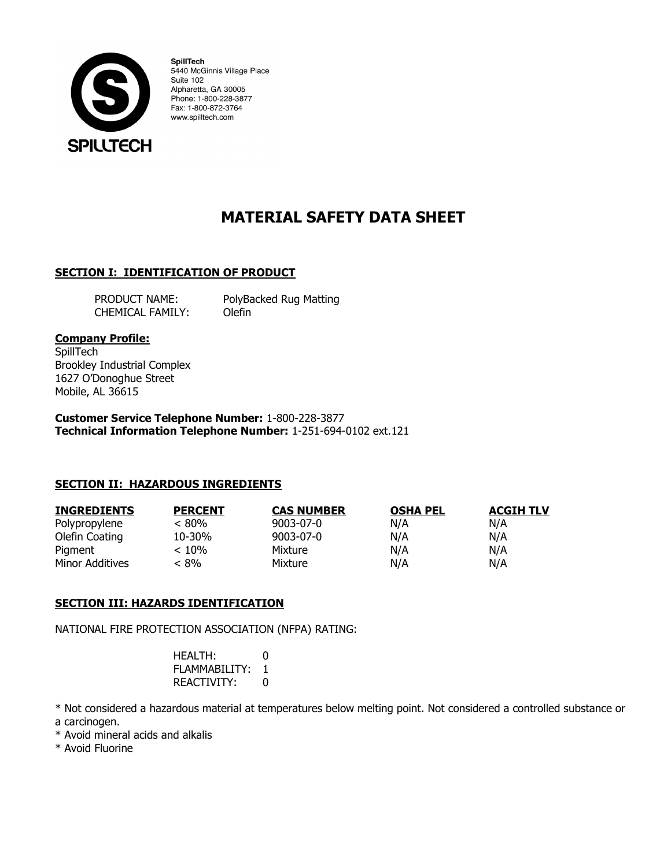

SpillTech 5440 McGinnis Village Place Suite 102 Alpharetta, GA 30005 Phone: 1-800-228-3877 Fax: 1-800-872-3764 www.spilltech.com

# **MATERIAL SAFETY DATA SHEET**

# **SECTION I: IDENTIFICATION OF PRODUCT**

CHEMICAL FAMILY: Olefin

PRODUCT NAME: PolyBacked Rug Matting

## **Company Profile:**

**SpillTech** Brookley Industrial Complex 1627 O'Donoghue Street Mobile, AL 36615

**Customer Service Telephone Number:** 1-800-228-3877 **Technical Information Telephone Number:** 1-251-694-0102 ext.121

# **SECTION II: HAZARDOUS INGREDIENTS**

| <b>INGREDIENTS</b> | <b>PERCENT</b> | <b>CAS NUMBER</b> | <b>OSHA PEL</b> | <b>ACGIH TLV</b> |
|--------------------|----------------|-------------------|-----------------|------------------|
| Polypropylene      | < 80%          | 9003-07-0         | N/A             | N/A              |
| Olefin Coating     | 10-30%         | $9003 - 07 - 0$   | N/A             | N/A              |
| Pigment            | $< 10\%$       | Mixture           | N/A             | N/A              |
| Minor Additives    | < 8%           | Mixture           | N/A             | N/A              |

# **SECTION III: HAZARDS IDENTIFICATION**

NATIONAL FIRE PROTECTION ASSOCIATION (NFPA) RATING:

| HEALTH:       | 0 |
|---------------|---|
| FLAMMABILITY: | 1 |
| REACTIVITY:   | 0 |

\* Not considered a hazardous material at temperatures below melting point. Not considered a controlled substance or a carcinogen.

\* Avoid mineral acids and alkalis

\* Avoid Fluorine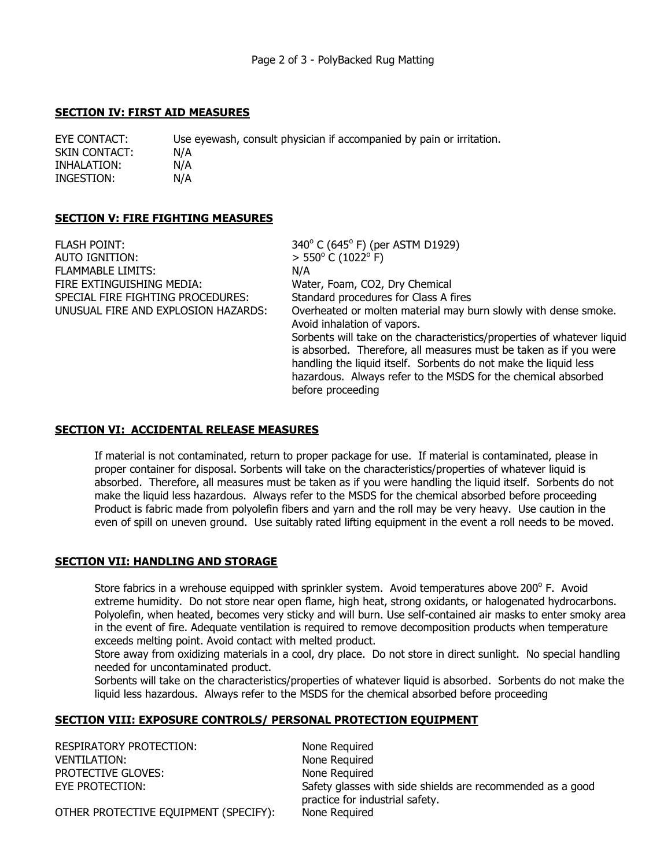## **SECTION IV: FIRST AID MEASURES**

EYE CONTACT: Use eyewash, consult physician if accompanied by pain or irritation. SKIN CONTACT: N/A INHALATION: N/A INGESTION: N/A

# **SECTION V: FIRE FIGHTING MEASURES**

| <b>FLASH POINT:</b>                 | 340° C (645° F) (per ASTM D1929)                                        |
|-------------------------------------|-------------------------------------------------------------------------|
| AUTO IGNITION:                      | $> 550^{\circ}$ C (1022 $^{\circ}$ F)                                   |
| <b>FLAMMABLE LIMITS:</b>            | N/A                                                                     |
| FIRE EXTINGUISHING MEDIA:           | Water, Foam, CO2, Dry Chemical                                          |
| SPECIAL FIRE FIGHTING PROCEDURES:   | Standard procedures for Class A fires                                   |
| UNUSUAL FIRE AND EXPLOSION HAZARDS: | Overheated or molten material may burn slowly with dense smoke.         |
|                                     | Avoid inhalation of vapors.                                             |
|                                     | Sorbents will take on the characteristics/properties of whatever liquid |
|                                     | is absorbed. Therefore, all measures must be taken as if you were       |
|                                     | handling the liquid itself. Sorbents do not make the liquid less        |
|                                     | hazardous. Always refer to the MSDS for the chemical absorbed           |
|                                     | before proceeding                                                       |

## **SECTION VI: ACCIDENTAL RELEASE MEASURES**

If material is not contaminated, return to proper package for use. If material is contaminated, please in proper container for disposal. Sorbents will take on the characteristics/properties of whatever liquid is absorbed. Therefore, all measures must be taken as if you were handling the liquid itself. Sorbents do not make the liquid less hazardous. Always refer to the MSDS for the chemical absorbed before proceeding Product is fabric made from polyolefin fibers and yarn and the roll may be very heavy. Use caution in the even of spill on uneven ground. Use suitably rated lifting equipment in the event a roll needs to be moved.

#### **SECTION VII: HANDLING AND STORAGE**

Store fabrics in a wrehouse equipped with sprinkler system. Avoid temperatures above 200 $^{\circ}$  F. Avoid extreme humidity. Do not store near open flame, high heat, strong oxidants, or halogenated hydrocarbons. Polyolefin, when heated, becomes very sticky and will burn. Use self-contained air masks to enter smoky area in the event of fire. Adequate ventilation is required to remove decomposition products when temperature exceeds melting point. Avoid contact with melted product.

Store away from oxidizing materials in a cool, dry place. Do not store in direct sunlight. No special handling needed for uncontaminated product.

Sorbents will take on the characteristics/properties of whatever liquid is absorbed. Sorbents do not make the liquid less hazardous. Always refer to the MSDS for the chemical absorbed before proceeding

# **SECTION VIII: EXPOSURE CONTROLS/ PERSONAL PROTECTION EQUIPMENT**

RESPIRATORY PROTECTION: None Required VENTILATION: VENTILATION: PROTECTIVE GLOVES: None Required

EYE PROTECTION: Safety glasses with side shields are recommended as a good practice for industrial safety.

OTHER PROTECTIVE EQUIPMENT (SPECIFY): None Required